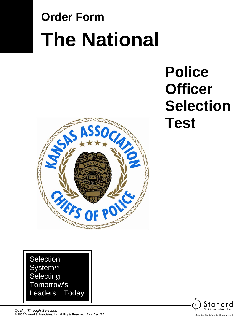# **Order Form The National**

## **Police Officer Selection Test**



Stanar & Associates, Inc. Data for Decisions in Management

**Selection** System<sup>™</sup> -**Selecting** Tomorrow's Leaders…Today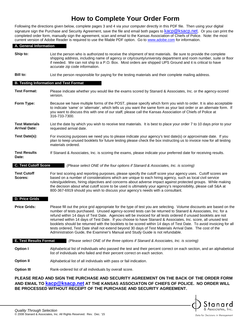## **How to Complete Your Order Form**

Following the directions given below, complete pages 3 and 4 via your computer directly in this PDF file. Then using your digital signature sign the Purchase and Security Agreement, save the file and email both pages to kacp@ksacp.net. Or you can print the completed order form, manually sign the agreement, scan and email to the Kansas Association of Chiefs of Police. Note: the most current version of Adobe Reader is required to use the fillable PDF option. Go to www.adobe.com for information.

### **A. General Information**

**Ship to:** List the person who is authorized to receive the shipment of test materials. Be sure to provide the complete shipping address, including name of agency or city/county/university department and room number, suite or floor if needed. We can not ship to a P.O. Box. Most orders are shipped UPS Ground and it is critical to have accurate zip code information.

**Bill to:** List the person responsible for paying for the testing materials and their complete mailing address.

### **B. Testing Information and Test Format**

**Test Format:** Please indicate whether you would like the exams scored by Stanard & Associates, Inc. or the agency-scored version.

- **Form Type:** Because we have multiple forms of the POST, please specify which form you wish to order. It is also acceptable to indicate 'same' or 'alternate', which tells us you want the same form as your last order or an alternate form. If you want to discuss this with one of our staff, please call the Kansas Association of Chiefs of Police at 316-733-7300.
- **Test Materials Arrival Date:** List the date by which you wish to receive test materials. It is best to place your order 7 to 10 days prior to your requested arrival date.
- **Test Date(s):** For invoicing purposes we need you to please indicate your agency's test date(s) or approximate date. If you plan to keep unused booklets for future testing please check the box instructing us to invoice now for all testing materials ordered.
- **Test Results**  If Stanard & Associates, Inc. is scoring the exams, please indicate your preferred date for receiving results.

## **Date:**

**C. Test Cutoff Score** *(Please select ONE of the four options if Stanard & Associates, Inc. is scoring)*

**Test Cutoff Scores:** For test scoring and reporting purposes, please specify the cutoff score your agency uses. Cutoff scores are based on a number of considerations which are unique to each hiring agency, such as local civil service rules/guidelines, hiring objectives and concerns about adverse impact against protected groups. While making the decision about what cutoff score to be used is ultimately your agency's responsibility, please call S&A at 800-367-6919 should you wish to discuss your agency's needs with a consultant.

#### **D. Price Grids**

- **Price Grids:** Please fill out the price grid appropriate for the type of test you are selecting. Volume discounts are based on the number of tests purchased. Unused agency-scored tests can be returned to Stanard & Associates, Inc. for a refund within 14 days of Test Date. Agencies will be invoiced for all tests ordered if unused booklets are not returned within 14 days of Test Date. If you choose to have Stanard & Associates, Inc. score, all unused test booklets should be returned with the booklets to be scored within 14 days of Test Date. To avoid invoicing for all tests ordered, Test Date shall not extend beyond 30 days of Test Materials Arrival Date. The cost of the Administration Guide, the Examiner's Manual and Study Guide is not refundable.
- **E. Test Results Format** *(Please select ONE of the three options if Stanard & Associates, Inc. is scoring)*
- **Option I** Alphabetical list of individuals who passed the test and their percent correct on each section, and an alphabetical list of individuals who failed and their percent correct on each section.
- **Option II** Alphabetical list of all individuals with pass or fail indication.
- **Option III** Rank-ordered list of all individuals by overall score.

**PLEASE READ AND SIGN THE PURCHASE AND SECURITY AGREEMENT ON THE BACK OF THE ORDER FORM AND EMAIL TO kacp@ksacp.net AT THE KANSAS ASSOCIATON OF CHIEFS OF POLICE. NO ORDER WILL BE PROCESSED WITHOUT RECEIPT OF THE PURCHASE AND SECURITY AGREEMENT.** 

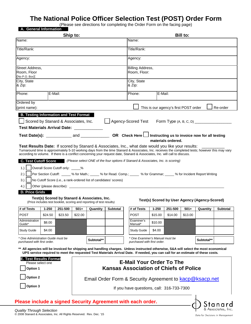## **The National Police Officer Selection Test (POST) Order Form**

(Please see directions for completing the Order Form on the facing page)

|                                                                                                                                                 |           |                                   | Bill to:              |                                                                                                                      |                                                                   |                                                                                                                                      |         |                                       |         |                                               |                 |  |
|-------------------------------------------------------------------------------------------------------------------------------------------------|-----------|-----------------------------------|-----------------------|----------------------------------------------------------------------------------------------------------------------|-------------------------------------------------------------------|--------------------------------------------------------------------------------------------------------------------------------------|---------|---------------------------------------|---------|-----------------------------------------------|-----------------|--|
| Ship to:<br>Name:                                                                                                                               |           |                                   |                       |                                                                                                                      |                                                                   | Name:                                                                                                                                |         |                                       |         |                                               |                 |  |
| Title/Rank:                                                                                                                                     |           |                                   | Title/Rank:           |                                                                                                                      |                                                                   |                                                                                                                                      |         |                                       |         |                                               |                 |  |
| Agency:                                                                                                                                         |           | Agency:                           |                       |                                                                                                                      |                                                                   |                                                                                                                                      |         |                                       |         |                                               |                 |  |
| Street Address,                                                                                                                                 |           |                                   |                       |                                                                                                                      |                                                                   |                                                                                                                                      |         |                                       |         |                                               |                 |  |
| Room, Floor                                                                                                                                     |           |                                   |                       | Billing Address,<br>Room. Floor:                                                                                     |                                                                   |                                                                                                                                      |         |                                       |         |                                               |                 |  |
| (No P.O. Box):<br>City, State                                                                                                                   |           |                                   |                       |                                                                                                                      |                                                                   |                                                                                                                                      |         |                                       |         |                                               |                 |  |
| & Zip:                                                                                                                                          |           |                                   | City, State<br>& Zip: |                                                                                                                      |                                                                   |                                                                                                                                      |         |                                       |         |                                               |                 |  |
| Phone:                                                                                                                                          | E-Mail:   |                                   |                       |                                                                                                                      |                                                                   | Phone:                                                                                                                               | E-Mail: |                                       |         |                                               |                 |  |
| Ordered by                                                                                                                                      |           |                                   |                       |                                                                                                                      |                                                                   |                                                                                                                                      |         |                                       |         |                                               |                 |  |
| (print name):                                                                                                                                   |           |                                   |                       |                                                                                                                      |                                                                   |                                                                                                                                      |         | This is our agency's first POST order |         |                                               | Re-order        |  |
| Agency-Scored Test Form Type (A, B, C, D) _________________<br>Scored by Stanard & Associates, Inc.<br>Test Materials Arrival Date: ___________ |           |                                   |                       |                                                                                                                      |                                                                   |                                                                                                                                      |         |                                       |         |                                               |                 |  |
|                                                                                                                                                 |           |                                   |                       |                                                                                                                      |                                                                   |                                                                                                                                      |         | materials ordered.                    |         |                                               |                 |  |
| 1.<br>2.)<br>3.<br>4.)<br>D. Price Grids                                                                                                        |           | Overall Score Cutoff only: _____% |                       | Test(s) Scored by Stanard & Associates, Inc.<br>(Price includes test booklet, scoring and reporting of test results) | No Cutoff Score (i.e., a rank-ordered list of candidates' scores) | Per Section Cutoff: _____ % for Math.; ____ % for Read. Comp.; _____ % for Grammar; ____ % for Incident Report Writing               |         |                                       |         | Test(s) Scored by User Agency (Agency-Scored) |                 |  |
| # of Tests                                                                                                                                      | $1 - 250$ | 251-500                           | $501+$                | Quantity                                                                                                             | Subtotal                                                          | # of Tests                                                                                                                           | 1-250   | 251-500                               | $501+$  | Quantity                                      | <b>Subtotal</b> |  |
| POST                                                                                                                                            | \$24.50   | \$23.50                           | \$22.00               |                                                                                                                      |                                                                   | <b>POST</b>                                                                                                                          | \$15.00 | \$14.00                               | \$13.00 |                                               |                 |  |
| Administration<br>Guide*                                                                                                                        | \$8.00    |                                   |                       |                                                                                                                      |                                                                   | Examiner's                                                                                                                           | \$10.00 |                                       |         |                                               |                 |  |
|                                                                                                                                                 |           |                                   |                       |                                                                                                                      |                                                                   | Manual*                                                                                                                              |         |                                       |         |                                               |                 |  |
| <b>Study Guide</b>                                                                                                                              | \$4.00    |                                   |                       |                                                                                                                      |                                                                   | <b>Study Guide</b>                                                                                                                   | \$4.00  |                                       |         |                                               |                 |  |
| * One Administration Guide must be<br>purchased with first order.                                                                               |           |                                   |                       | Subtotal**                                                                                                           |                                                                   | * One Examiner's Manual must be<br>purchased with first order.                                                                       |         |                                       |         | Subtotal**                                    |                 |  |
|                                                                                                                                                 |           |                                   |                       |                                                                                                                      |                                                                   | ** All agencies will be invoiced for shipping and handling charges. Unless instructed otherwise, S&A will select the most economical |         |                                       |         |                                               |                 |  |
| <b>E. Test Results Format</b>                                                                                                                   |           |                                   |                       |                                                                                                                      |                                                                   | UPS service required to meet the requested Test Materials Arrival Date. If needed, you can call for an estimate of these costs.      |         |                                       |         |                                               |                 |  |
| Please select one<br>Option 1                                                                                                                   |           |                                   |                       |                                                                                                                      |                                                                   | <b>E-Mail Your Order To The</b><br><b>Kansas Association of Chiefs of Police</b>                                                     |         |                                       |         |                                               |                 |  |
| Option 2                                                                                                                                        |           |                                   |                       |                                                                                                                      |                                                                   |                                                                                                                                      |         |                                       |         |                                               |                 |  |
| Option 3                                                                                                                                        |           |                                   |                       |                                                                                                                      |                                                                   | Email Order Form & Security Agreement to <b>kacp@ksacp.net</b>                                                                       |         |                                       |         |                                               |                 |  |
|                                                                                                                                                 |           |                                   |                       |                                                                                                                      |                                                                   | If you have questions, call: 316-733-7300                                                                                            |         |                                       |         |                                               |                 |  |

Data for Decisions in Management

Stanard & Associates, Inc.